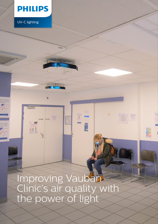

**CE 5** 

UV-C lighting

Improving Vauban Clinic's air quality with the power of light

E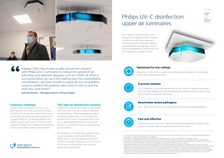Case study

**VAUBAN** 

**CLINIC UV-C disinfection solutions**

### **Customer challenge**

Vauban Clinic is located near Paris in an area that has an active and intense cluster of COVID-19. Among the patients that come to the clinic are some who are suspected of having COVID-19. Protecting patients and staff is a major issue, which is why the clinic wanted to install UV-C disinfection luminaires in the rooms where patients are received.

> Our Philips UV-C disinfection upper air wall mount luminaires inactivated 99.99% of SARS-COV-2, the virus responsible for the COVID-19 disease, in the air of a room within 10 minutes. At 20 minutes, the virus was below detectable levels.<sup>1</sup>

### **The right air disinfection solution**

Philips UV-C disinfection upper air luminaires are a very efficient way to prevent airborne contaminations. Their operating principle is extremely simple; they continuously emit powerful UV-C rays in the upper part of the room, disinfecting the entire volume of air present in a matter of minutes using natural air convection.

UV-C radiation is a known disinfectant for air, surfaces, objects and water that can help mitigate the risk of acquiring an infection and has been used extensively for more than 40 years.<sup>2</sup>



Vauban Clinic has chosen a safe and proven solution with Philips UV-C luminaires to reduce the spread of all infectious and airborne diseases such as COVID-19. After a successful initial set-up in the waiting room for unscheduled consultations, we have chosen to equip all our consultation rooms to protect the patients who come to see us and the staff who work there.**" "**

Nathalie Requier - Managing director clinique Vauban

## **Deactivates tested pathogens**

UV-C light has been proven to effectively deactivate tested pathogens.<sup>3</sup>



### **A proven solution**

### **Fast and effective**

In laboratory tests, our UV-C light sources inactivated 99% of SARS-CoV-2 virus on a surface with an exposure time of 6 seconds.4

### **Optimized for low ceilings**

Philips UV-C disinfection upper air luminaires were installed in the waiting rooms and consultation rooms.

# Philips UV-C disinfection upper air luminaires



1. According to results obtained from a laboratory test conducted by Innovative Bioanalysis, a CAP, CLIA, AABB Certified Safety Reference Laboratory, in a room with sufficient air circulation.

- 2. EPA Report, "Building Retrofits for Increased Protection Against Airborne Chemical and Biological Releases" Pg. 56
- 3. Fluence (UV Dose) Required to Achieve Incremental Log Inactivation of Bacteria, Protozoa, Viruses and Algae Revised, updated and expanded by Adel Haji Malayeri, Madjid Mohseni, Bill Cairns and James R. Bolton. With earlier contributions by Gabriel Chevrefils (2006) and Eric Caron (2006) With peer review by Benoit Barbeau, Harold Wright (1999) and Karl G. Linden
- 4. Data made available to us by the National Emerging Infectious Diseases Laboratories (NEIDL) at Boston University, which has been collected from a laboratory experiment conducted by Dr. Anthony Griffiths (Associate Professor of Microbiology at Boston University School of Medicine) and his team at the premises of the NEIDL (such data will be the subject of a forthcoming scientific publication by Boston University), shows that Signify's UV-C light sources irradiating the surface of a material inoculated with SARS-CoV-2 (the virus that causes the COVID-19 disease) at a UV-C dose of 5mJ/cm2 (exposure time 6 seconds) resulted in a 99% reduction of the SARS-CoV-2 virus present on that surface. This study determined that a UV-C dose of 22mJ/cm2 results in a reduction of 99.9999% of SARS-CoV-2 virus on that surface (exposure time 25 seconds). Research variables are available upon request.

UV-C plays a valuable part in your protection strategy during increased sensitivity to infectious diseases, including airborne diseases. Signify systematically and regularly checks that this installation conforms with all the standards currently in force.